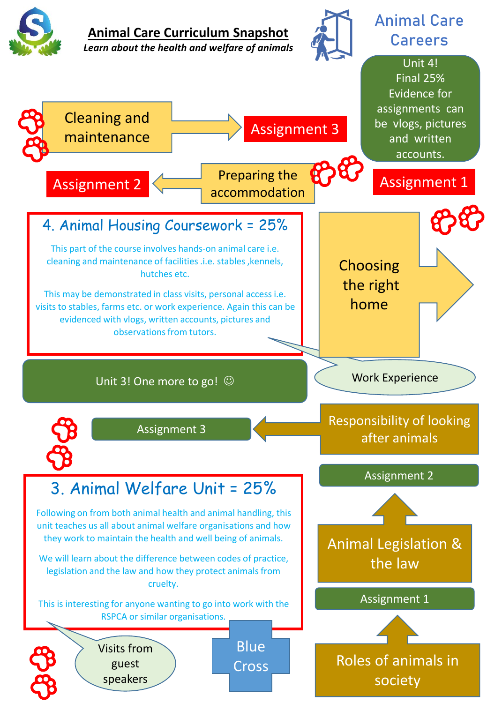